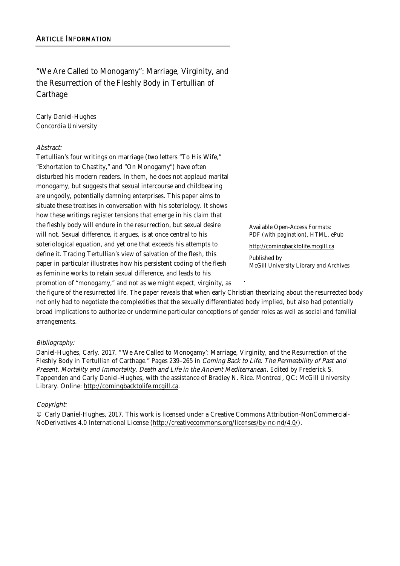"We Are Called to Monogamy": Marriage, Virginity, and the Resurrection of the Fleshly Body in Tertullian of **Carthage** 

Carly Daniel-Hughes Concordia University

#### Abstract:

Tertullian's four writings on marriage (two letters "To His Wife," "Exhortation to Chastity," and "On Monogamy") have often disturbed his modern readers. In them, he does not applaud marital monogamy, but suggests that sexual intercourse and childbearing are ungodly, potentially damning enterprises. This paper aims to situate these treatises in conversation with his soteriology. It shows how these writings register tensions that emerge in his claim that the fleshly body will endure in the resurrection, but sexual desire will not. Sexual difference, it argues, is at once central to his soteriological equation, and yet one that exceeds his attempts to define it. Tracing Tertullian's view of salvation of the flesh, this paper in particular illustrates how his persistent coding of the flesh as feminine works to retain sexual difference, and leads to his promotion of "monogamy," and not as we might expect, virginity, as

Available Open-Access Formats: PDF (with pagination), HTML, ePub

http://comingbacktolife.mcgill.ca

Published by McGill University Library and Archives

the figure of the resurrected life. The paper reveals that when early Christian theorizing about the resurrected body not only had to negotiate the complexities that the sexually differentiated body implied, but also had potentially broad implications to authorize or undermine particular conceptions of gender roles as well as social and familial arrangements. !

#### Bibliography:

Daniel-Hughes, Carly. 2017. "'We Are Called to Monogamy': Marriage, Virginity, and the Resurrection of the Fleshly Body in Tertullian of Carthage." Pages 239–265 in Coming Back to Life: The Permeability of Past and Present, Mortality and Immortality, Death and Life in the Ancient Mediterranean. Edited by Frederick S. Tappenden and Carly Daniel-Hughes, with the assistance of Bradley N. Rice. Montreal, QC: McGill University Library. Online: http://comingbacktolife.mcgill.ca.

#### Copyright:

© Carly Daniel-Hughes, 2017. This work is licensed under a Creative Commons Attribution-NonCommercial-NoDerivatives 4.0 International License (http://creativecommons.org/licenses/by-nc-nd/4.0/).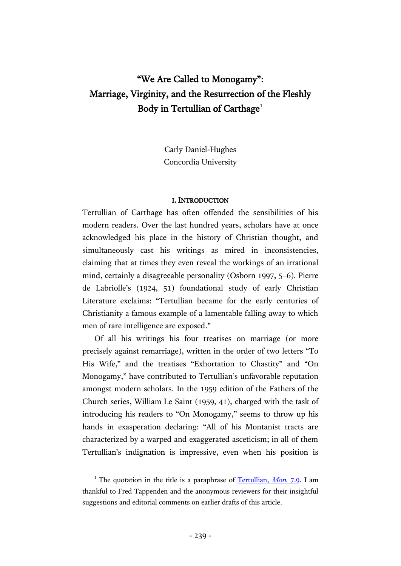# "We Are Called to Monogamy": Marriage, Virginity, and the Resurrection of the Fleshly Body in Tertullian of Carthage $^1$

Carly Daniel-Hughes Concordia University

#### I. INTRODUCTION

Tertullian of Carthage has often offended the sensibilities of his modern readers. Over the last hundred years, scholars have at once acknowledged his place in the history of Christian thought, and simultaneously cast his writings as mired in inconsistencies, claiming that at times they even reveal the workings of an irrational mind, certainly a disagreeable personality (Osborn 1997, 5–6). Pierre de Labriolle's (1924, 51) foundational study of early Christian Literature exclaims: "Tertullian became for the early centuries of Christianity a famous example of a lamentable falling away to which men of rare intelligence are exposed."

Of all his writings his four treatises on marriage (or more precisely against remarriage), written in the order of two letters "To His Wife," and the treatises "Exhortation to Chastity" and "On Monogamy," have contributed to Tertullian's unfavorable reputation amongst modern scholars. In the 1959 edition of the Fathers of the Church series, William Le Saint (1959, 41), charged with the task of introducing his readers to "On Monogamy," seems to throw up his hands in exasperation declaring: "All of his Montanist tracts are characterized by a warped and exaggerated asceticism; in all of them Tertullian's indignation is impressive, even when his position is

<sup>&</sup>lt;sup>1</sup> The quotation in the title is a paraphrase of  $Tertullian, Mon. 7.9$ . I am thankful to Fred Tappenden and the anonymous reviewers for their insightful suggestions and editorial comments on earlier drafts of this article.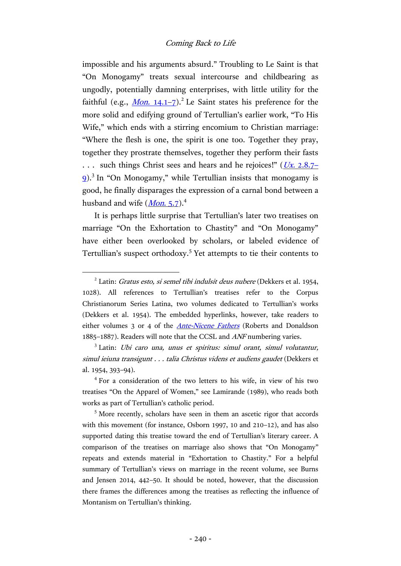impossible and his arguments absurd." Troubling to Le Saint is that "On Monogamy" treats sexual intercourse and childbearing as ungodly, potentially damning enterprises, with little utility for the faithful (e.g., *Mon.* [14.1](http://hdl.handle.net/2027/njp.32101075296036?urlappend=%3Bseq=80)-7).<sup>2</sup> Le Saint states his preference for the more solid and edifying ground of Tertullian's earlier work, "To His Wife," which ends with a stirring encomium to Christian marriage: "Where the flesh is one, the spirit is one too. Together they pray, together they prostrate themselves, together they perform their fasts ... such things Christ sees and hears and he rejoices!" ( $Ux$ . [2.8.7](http://hdl.handle.net/2027/njp.32101075296036?urlappend=%3Bseq=58)– [9\)](http://hdl.handle.net/2027/njp.32101075296036?urlappend=%3Bseq=58).<sup>3</sup> In "On Monogamy," while Tertullian insists that monogamy is good, he finally disparages the expression of a carnal bond between a husband and wife  $(Mon, 5.7)$ .<sup>4</sup>

It is perhaps little surprise that Tertullian's later two treatises on marriage "On the Exhortation to Chastity" and "On Monogamy" have either been overlooked by scholars, or labeled evidence of Tertullian's suspect orthodoxy.<sup>5</sup> Yet attempts to tie their contents to

 $^2$  Latin: *Gratus esto, si semel tibi indulsit deus nubere* (Dekkers et al. 1954, 1028). All references to Tertullian's treatises refer to the Corpus Christianorum Series Latina, two volumes dedicated to Tertullian's works (Dekkers et al. 1954). The embedded hyperlinks, however, take readers to either volumes 3 or 4 of the *[Ante-Nicene Fathers](http://catalog.hathitrust.org/Record/010248796)* (Roberts and Donaldson 1885–1887). Readers will note that the CCSL and ANF numbering varies.

<sup>&</sup>lt;sup>3</sup> Latin: *Ubi caro una, unus et spiritus: simul orant, simul volutantur,* simul ieiuna transigunt . . . talia Christus videns et audiens gaudet (Dekkers et al. 1954, 393–94).

<sup>4</sup> For a consideration of the two letters to his wife, in view of his two treatises "On the Apparel of Women," see Lamirande (1989), who reads both works as part of Tertullian's catholic period.

<sup>&</sup>lt;sup>5</sup> More recently, scholars have seen in them an ascetic rigor that accords with this movement (for instance, Osborn 1997, 10 and 210–12), and has also supported dating this treatise toward the end of Tertullian's literary career. A comparison of the treatises on marriage also shows that "On Monogamy" repeats and extends material in "Exhortation to Chastity." For a helpful summary of Tertullian's views on marriage in the recent volume, see Burns and Jensen 2014, 442–50. It should be noted, however, that the discussion there frames the differences among the treatises as reflecting the influence of Montanism on Tertullian's thinking.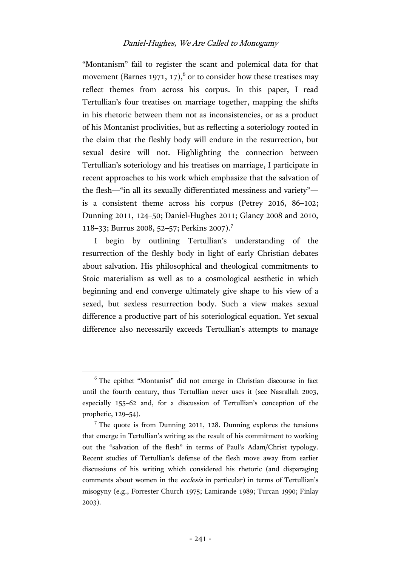"Montanism" fail to register the scant and polemical data for that movement (Barnes 1971, 17),  $6$  or to consider how these treatises may reflect themes from across his corpus. In this paper, I read Tertullian's four treatises on marriage together, mapping the shifts in his rhetoric between them not as inconsistencies, or as a product of his Montanist proclivities, but as reflecting a soteriology rooted in the claim that the fleshly body will endure in the resurrection, but sexual desire will not. Highlighting the connection between Tertullian's soteriology and his treatises on marriage, I participate in recent approaches to his work which emphasize that the salvation of the flesh—"in all its sexually differentiated messiness and variety" is a consistent theme across his corpus (Petrey 2016, 86–102; Dunning 2011, 124–50; Daniel-Hughes 2011; Glancy 2008 and 2010, 118–33; Burrus 2008, 52–57; Perkins 2007). 7

I begin by outlining Tertullian's understanding of the resurrection of the fleshly body in light of early Christian debates about salvation. His philosophical and theological commitments to Stoic materialism as well as to a cosmological aesthetic in which beginning and end converge ultimately give shape to his view of a sexed, but sexless resurrection body. Such a view makes sexual difference a productive part of his soteriological equation. Yet sexual difference also necessarily exceeds Tertullian's attempts to manage

 $6$  The epithet "Montanist" did not emerge in Christian discourse in fact until the fourth century, thus Tertullian never uses it (see Nasrallah 2003, especially 155–62 and, for a discussion of Tertullian's conception of the prophetic, 129–54).

 $7$  The quote is from Dunning 2011, 128. Dunning explores the tensions that emerge in Tertullian's writing as the result of his commitment to working out the "salvation of the flesh" in terms of Paul's Adam/Christ typology. Recent studies of Tertullian's defense of the flesh move away from earlier discussions of his writing which considered his rhetoric (and disparaging comments about women in the *ecclesia* in particular) in terms of Tertullian's misogyny (e.g., Forrester Church 1975; Lamirande 1989; Turcan 1990; Finlay 2003).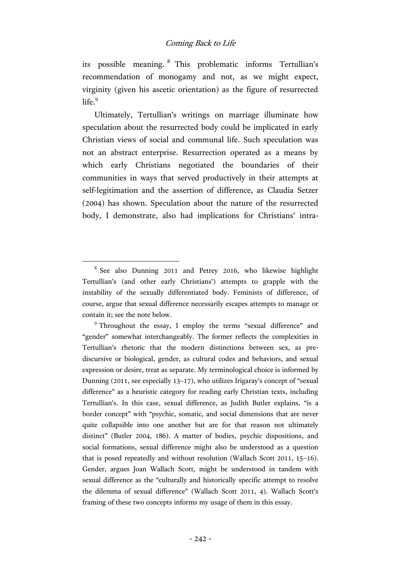its possible meaning. <sup>8</sup> This problematic informs Tertullian's recommendation of monogamy and not, as we might expect, virginity (given his ascetic orientation) as the figure of resurrected life. 9

Ultimately, Tertullian's writings on marriage illuminate how speculation about the resurrected body could be implicated in early Christian views of social and communal life. Such speculation was not an abstract enterprise. Resurrection operated as a means by which early Christians negotiated the boundaries of their communities in ways that served productively in their attempts at self-legitimation and the assertion of difference, as Claudia Setzer (2004) has shown. Speculation about the nature of the resurrected body, I demonstrate, also had implications for Christians' intra-

<sup>&</sup>lt;sup>8</sup> See also Dunning 2011 and Petrey 2016, who likewise highlight Tertullian's (and other early Christians') attempts to grapple with the instability of the sexually differentiated body. Feminists of difference, of course, argue that sexual difference necessarily escapes attempts to manage or contain it; see the note below.

<sup>&</sup>lt;sup>9</sup> Throughout the essay, I employ the terms "sexual difference" and "gender" somewhat interchangeably. The former reflects the complexities in Tertullian's rhetoric that the modern distinctions between sex, as prediscursive or biological, gender, as cultural codes and behaviors, and sexual expression or desire, treat as separate. My terminological choice is informed by Dunning (2011, see especially 13–17), who utilizes Irigaray's concept of "sexual difference" as a heuristic category for reading early Christian texts, including Tertullian's. In this case, sexual difference, as Judith Butler explains, "is a border concept" with "psychic, somatic, and social dimensions that are never quite collapsible into one another but are for that reason not ultimately distinct" (Butler 2004, 186). A matter of bodies, psychic dispositions, and social formations, sexual difference might also be understood as a question that is posed repeatedly and without resolution (Wallach Scott 2011, 15–16). Gender, argues Joan Wallach Scott, might be understood in tandem with sexual difference as the "culturally and historically specific attempt to resolve the dilemma of sexual difference" (Wallach Scott 2011, 4). Wallach Scott's framing of these two concepts informs my usage of them in this essay.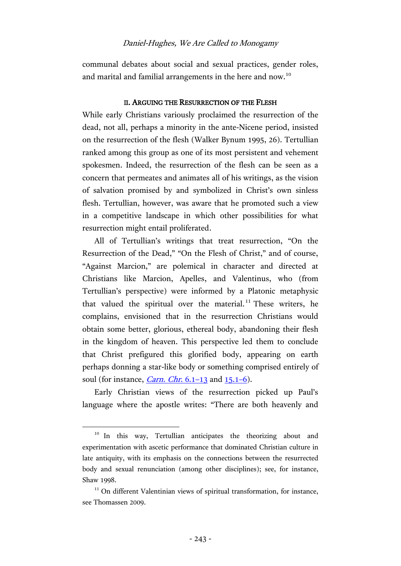communal debates about social and sexual practices, gender roles, and marital and familial arrangements in the here and now.<sup>10</sup>

#### II. ARGUING THE RESURRECTION OF THE FLESH

While early Christians variously proclaimed the resurrection of the dead, not all, perhaps a minority in the ante-Nicene period, insisted on the resurrection of the flesh (Walker Bynum 1995, 26). Tertullian ranked among this group as one of its most persistent and vehement spokesmen. Indeed, the resurrection of the flesh can be seen as a concern that permeates and animates all of his writings, as the vision of salvation promised by and symbolized in Christ's own sinless flesh. Tertullian, however, was aware that he promoted such a view in a competitive landscape in which other possibilities for what resurrection might entail proliferated.

All of Tertullian's writings that treat resurrection, "On the Resurrection of the Dead," "On the Flesh of Christ," and of course, "Against Marcion," are polemical in character and directed at Christians like Marcion, Apelles, and Valentinus, who (from Tertullian's perspective) were informed by a Platonic metaphysic that valued the spiritual over the material.<sup>11</sup> These writers, he complains, envisioned that in the resurrection Christians would obtain some better, glorious, ethereal body, abandoning their flesh in the kingdom of heaven. This perspective led them to conclude that Christ prefigured this glorified body, appearing on earth perhaps donning a star-like body or something comprised entirely of soul (for instance, *[Carn. Chr](http://hdl.handle.net/2027/njp.32101075296044?urlappend=%3Bseq=536).* 6.1–13 and  $15.1-6$  $15.1-6$ ).

Early Christian views of the resurrection picked up Paul's language where the apostle writes: "There are both heavenly and

<sup>&</sup>lt;sup>10</sup> In this way, Tertullian anticipates the theorizing about and experimentation with ascetic performance that dominated Christian culture in late antiquity, with its emphasis on the connections between the resurrected body and sexual renunciation (among other disciplines); see, for instance, Shaw 1998.

<sup>&</sup>lt;sup>11</sup> On different Valentinian views of spiritual transformation, for instance, see Thomassen 2009.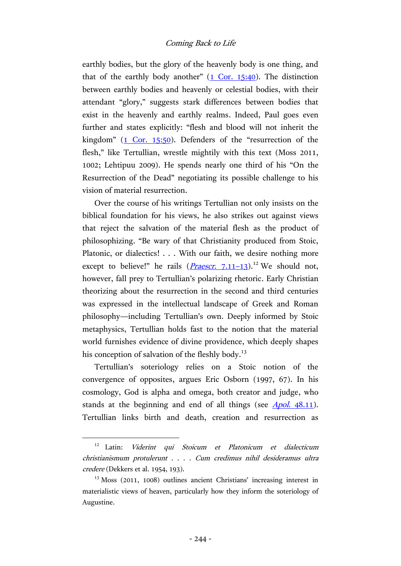earthly bodies, but the glory of the heavenly body is one thing, and that of the earthly body another"  $(1 \text{ Cor. } 15:40)$ . The distinction between earthly bodies and heavenly or celestial bodies, with their attendant "glory," suggests stark differences between bodies that exist in the heavenly and earthly realms. Indeed, Paul goes even further and states explicitly: "flesh and blood will not inherit the kingdom" ([1 Cor. 15:50\)](http://www.academic-bible.com/bible-text/1Corinthians15.50/NA/). Defenders of the "resurrection of the flesh," like Tertullian, wrestle mightily with this text (Moss 2011, 1002; Lehtipuu 2009). He spends nearly one third of his "On the Resurrection of the Dead" negotiating its possible challenge to his vision of material resurrection.

Over the course of his writings Tertullian not only insists on the biblical foundation for his views, he also strikes out against views that reject the salvation of the material flesh as the product of philosophizing. "Be wary of that Christianity produced from Stoic, Platonic, or dialectics! . . . With our faith, we desire nothing more except to believe!" he rails (*Praescr.* 7.11-13).<sup>12</sup> We should not, however, fall prey to Tertullian's polarizing rhetoric. Early Christian theorizing about the resurrection in the second and third centuries was expressed in the intellectual landscape of Greek and Roman philosophy—including Tertullian's own. Deeply informed by Stoic metaphysics, Tertullian holds fast to the notion that the material world furnishes evidence of divine providence, which deeply shapes his conception of salvation of the fleshly body.<sup>13</sup>

Tertullian's soteriology relies on a Stoic notion of the convergence of opposites, argues Eric Osborn (1997, 67). In his cosmology, God is alpha and omega, both creator and judge, who stands at the beginning and end of all things (see *Apol.* 48.11). Tertullian links birth and death, creation and resurrection as

<sup>&</sup>lt;sup>12</sup> Latin: Viderint qui Stoicum et Platonicum et dialecticum christianismum protulerunt . . . . Cum credimus nihil desideramus ultra credere (Dekkers et al. 1954, 193).

<sup>&</sup>lt;sup>13</sup> Moss (2011, 1008) outlines ancient Christians' increasing interest in materialistic views of heaven, particularly how they inform the soteriology of Augustine.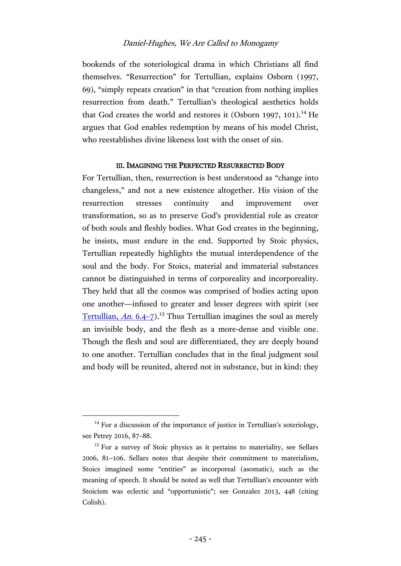bookends of the soteriological drama in which Christians all find themselves. "Resurrection" for Tertullian, explains Osborn (1997, 69), "simply repeats creation" in that "creation from nothing implies resurrection from death." Tertullian's theological aesthetics holds that God creates the world and restores it (Osborn 1997, 101).<sup>14</sup> He argues that God enables redemption by means of his model Christ, who reestablishes divine likeness lost with the onset of sin.

### III. IMAGINING THE PERFECTED RESURRECTED BODY

For Tertullian, then, resurrection is best understood as "change into changeless," and not a new existence altogether. His vision of the resurrection stresses continuity and improvement over transformation, so as to preserve God's providential role as creator of both souls and fleshly bodies. What God creates in the beginning, he insists, must endure in the end. Supported by Stoic physics, Tertullian repeatedly highlights the mutual interdependence of the soul and the body. For Stoics, material and immaterial substances cannot be distinguished in terms of corporeality and incorporeality. They held that all the cosmos was comprised of bodies acting upon one another—infused to greater and lesser degrees with spirit (see [Tertullian,](http://hdl.handle.net/2027/njp.32101075296044?urlappend=%3Bseq=195) An. 6.4–7).<sup>15</sup> Thus Tertullian imagines the soul as merely an invisible body, and the flesh as a more-dense and visible one. Though the flesh and soul are differentiated, they are deeply bound to one another. Tertullian concludes that in the final judgment soul and body will be reunited, altered not in substance, but in kind: they

<sup>&</sup>lt;sup>14</sup> For a discussion of the importance of justice in Tertullian's soteriology, see Petrey 2016, 87–88.

<sup>&</sup>lt;sup>15</sup> For a survey of Stoic physics as it pertains to materiality, see Sellars 2006, 81–106. Sellars notes that despite their commitment to materialism, Stoics imagined some "entities" as incorporeal (asomatic), such as the meaning of speech. It should be noted as well that Tertullian's encounter with Stoicism was eclectic and "opportunistic"; see Gonzalez 2013, 448 (citing Colish).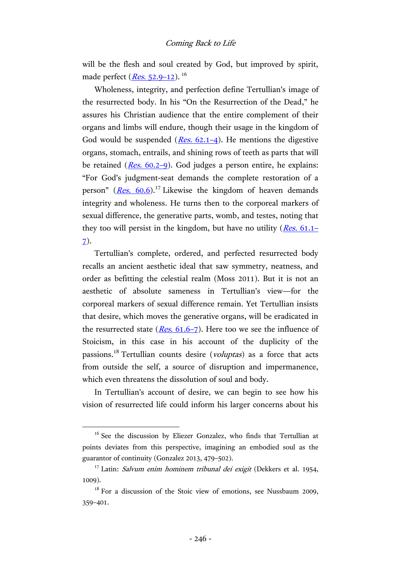will be the flesh and soul created by God, but improved by spirit, made perfect (<u>*Res*[. 52.9](http://hdl.handle.net/2027/njp.32101075296044?urlappend=%3Bseq=595)–12</u>). <sup>16</sup>

Wholeness, integrity, and perfection define Tertullian's image of the resurrected body. In his "On the Resurrection of the Dead," he assures his Christian audience that the entire complement of their organs and limbs will endure, though their usage in the kingdom of God would be suspended  $(Res. 62.1-4)$  $(Res. 62.1-4)$  $(Res. 62.1-4)$ . He mentions the digestive organs, stomach, entrails, and shining rows of teeth as parts that will be retained  $(Res. 60.2-9)$  $(Res. 60.2-9)$  $(Res. 60.2-9)$ . God judges a person entire, he explains: "For God's judgment-seat demands the complete restoration of a person" ( $Res. 60.6$ ).<sup>17</sup> Likewise the kingdom of heaven demands</u> integrity and wholeness. He turns then to the corporeal markers of sexual difference, the generative parts, womb, and testes, noting that they too will persist in the kingdom, but have no utility  $(Res. 61.1 (Res. 61.1 (Res. 61.1-$ [7\)](http://hdl.handle.net/2027/njp.32101075296044?urlappend=%3Bseq=602).

Tertullian's complete, ordered, and perfected resurrected body recalls an ancient aesthetic ideal that saw symmetry, neatness, and order as befitting the celestial realm (Moss 2011). But it is not an aesthetic of absolute sameness in Tertullian's view—for the corporeal markers of sexual difference remain. Yet Tertullian insists that desire, which moves the generative organs, will be eradicated in the resurrected state ( $Res. 61.6-7$  $Res. 61.6-7$  $Res. 61.6-7$ ). Here too we see the influence of Stoicism, in this case in his account of the duplicity of the passions.<sup>18</sup> Tertullian counts desire (voluptas) as a force that acts from outside the self, a source of disruption and impermanence, which even threatens the dissolution of soul and body.

In Tertullian's account of desire, we can begin to see how his vision of resurrected life could inform his larger concerns about his

<sup>&</sup>lt;sup>16</sup> See the discussion by Eliezer Gonzalez, who finds that Tertullian at points deviates from this perspective, imagining an embodied soul as the guarantor of continuity (Gonzalez 2013, 479–502).

 $17$  Latin: *Salvum enim hominem tribunal dei exigit* (Dekkers et al. 1954, 1009).

 $18$  For a discussion of the Stoic view of emotions, see Nussbaum 2009, 359–401.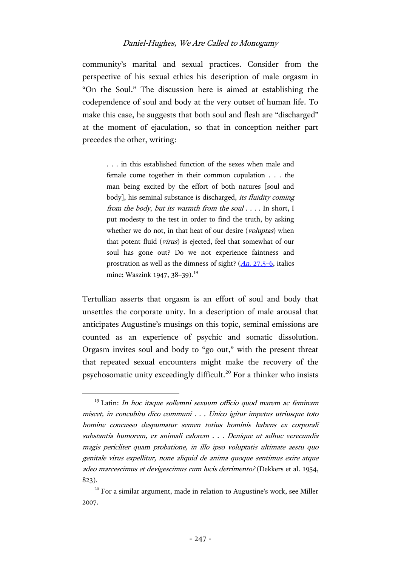community's marital and sexual practices. Consider from the perspective of his sexual ethics his description of male orgasm in "On the Soul." The discussion here is aimed at establishing the codependence of soul and body at the very outset of human life. To make this case, he suggests that both soul and flesh are "discharged" at the moment of ejaculation, so that in conception neither part precedes the other, writing:

> . . . in this established function of the sexes when male and female come together in their common copulation . . . the man being excited by the effort of both natures [soul and body], his seminal substance is discharged, *its fluidity coming* from the body, but its warmth from the soul . . . . In short, I put modesty to the test in order to find the truth, by asking whether we do not, in that heat of our desire (voluptas) when that potent fluid (virus) is ejected, feel that somewhat of our soul has gone out? Do we not experience faintness and prostration as well as the dimness of sight?  $(An, 27.5-6$ , italics mine; Waszink 1947, 38-39).<sup>19</sup>

Tertullian asserts that orgasm is an effort of soul and body that unsettles the corporate unity. In a description of male arousal that anticipates Augustine's musings on this topic, seminal emissions are counted as an experience of psychic and somatic dissolution. Orgasm invites soul and body to "go out," with the present threat that repeated sexual encounters might make the recovery of the psychosomatic unity exceedingly difficult.<sup>20</sup> For a thinker who insists

 $19$  Latin: In hoc itaque sollemni sexuum officio quod marem ac feminam miscet, in concubitu dico communi . . . Unico igitur impetus utriusque toto homine concusso despumatur semen totius hominis habens ex corporali substantia humorem, ex animali calorem . . . Denique ut adhuc verecundia magis pericliter quam probatione, in illo ipso voluptatis ultimate aestu quo genitale virus expellitur, none aliquid de anima quoque sentimus exire atque adeo marcescimus et devigescimus cum lucis detrimento? (Dekkers et al. 1954, 823).

 $20$  For a similar argument, made in relation to Augustine's work, see Miller 2007.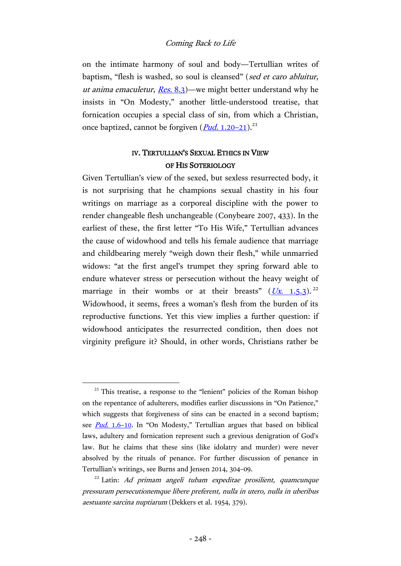on the intimate harmony of soul and body—Tertullian writes of baptism, "flesh is washed, so soul is cleansed" (sed et caro abluitur, ut anima emaculetur,  $Res. 8.3$ )—we might better understand why he insists in "On Modesty," another little-understood treatise, that fornication occupies a special class of sin, from which a Christian, once baptized, cannot be forgiven (*Pud*[. 1.20](http://hdl.handle.net/2027/njp.32101075296036?urlappend=%3Bseq=85)–21).<sup>21</sup>

# IV. TERTULLIAN'S SEXUAL ETHICS IN VIEW OF HIS SOTERIOLOGY

Given Tertullian's view of the sexed, but sexless resurrected body, it is not surprising that he champions sexual chastity in his four writings on marriage as a corporeal discipline with the power to render changeable flesh unchangeable (Conybeare 2007, 433). In the earliest of these, the first letter "To His Wife," Tertullian advances the cause of widowhood and tells his female audience that marriage and childbearing merely "weigh down their flesh," while unmarried widows: "at the first angel's trumpet they spring forward able to endure whatever stress or persecution without the heavy weight of marriage in their wombs or at their breasts"  $(Ux. 1.5.3).$  $(Ux. 1.5.3).$  $(Ux. 1.5.3).$ <sup>22</sup> Widowhood, it seems, frees a woman's flesh from the burden of its reproductive functions. Yet this view implies a further question: if widowhood anticipates the resurrected condition, then does not virginity prefigure it? Should, in other words, Christians rather be

 $21$ <sup>21</sup> This treatise, a response to the "lenient" policies of the Roman bishop on the repentance of adulterers, modifies earlier discussions in "On Patience," which suggests that forgiveness of sins can be enacted in a second baptism; see *Pud.* 1.6-10. In "On Modesty," Tertullian argues that based on biblical laws, adultery and fornication represent such a grevious denigration of God's law. But he claims that these sins (like idolatry and murder) were never absolved by the rituals of penance. For further discussion of penance in Tertullian's writings, see Burns and Jensen 2014, 304–09.

 $22$  Latin: Ad primam angeli tubam expeditae prosilient, quamcunque pressuram persecutionemque libere preferent, nulla in utero, nulla in uberibus aestuante sarcina nuptiarum (Dekkers et al. 1954, 379).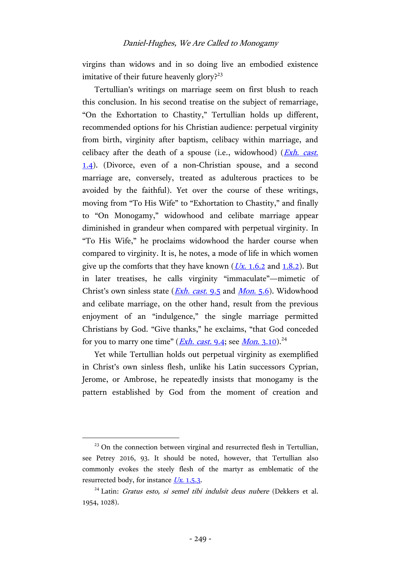virgins than widows and in so doing live an embodied existence imitative of their future heavenly glory? $23$ 

Tertullian's writings on marriage seem on first blush to reach this conclusion. In his second treatise on the subject of remarriage, "On the Exhortation to Chastity," Tertullian holds up different, recommended options for his Christian audience: perpetual virginity from birth, virginity after baptism, celibacy within marriage, and celibacy after the death of a spouse (i.e., widowhood)  $(Exh, cast,$  $(Exh, cast,$  $(Exh, cast,$ [1.4\)](http://hdl.handle.net/2027/njp.32101075296036?urlappend=%3Bseq=60). (Divorce, even of a non-Christian spouse, and a second marriage are, conversely, treated as adulterous practices to be avoided by the faithful). Yet over the course of these writings, moving from "To His Wife" to "Exhortation to Chastity," and finally to "On Monogamy," widowhood and celibate marriage appear diminished in grandeur when compared with perpetual virginity. In "To His Wife," he proclaims widowhood the harder course when compared to virginity. It is, he notes, a mode of life in which women give up the comforts that they have known  $(\underline{Ux}, 1.6.2 \text{ and } 1.8.2)$  $(\underline{Ux}, 1.6.2 \text{ and } 1.8.2)$ . But in later treatises, he calls virginity "immaculate"—mimetic of Christ's own sinless state (*[Exh. cast](http://hdl.handle.net/2027/njp.32101075296036?urlappend=%3Bseq=65).* 9.5 and *Mon.* 5.6). Widowhood and celibate marriage, on the other hand, result from the previous enjoyment of an "indulgence," the single marriage permitted Christians by God. "Give thanks," he exclaims, "that God conceded for you to marry one time" (*[Exh. cast](http://hdl.handle.net/2027/njp.32101075296036?urlappend=%3Bseq=65).* 9.4; see *Mon.* [3.10\)](http://hdl.handle.net/2027/njp.32101075296036?urlappend=%3Bseq=70).<sup>24</sup>

Yet while Tertullian holds out perpetual virginity as exemplified in Christ's own sinless flesh, unlike his Latin successors Cyprian, Jerome, or Ambrose, he repeatedly insists that monogamy is the pattern established by God from the moment of creation and

 $23$  On the connection between virginal and resurrected flesh in Tertullian, see Petrey 2016, 93. It should be noted, however, that Tertullian also commonly evokes the steely flesh of the martyr as emblematic of the resurrected body, for instance  $Ux$ [. 1.5.3.](http://hdl.handle.net/2027/njp.32101075296036?urlappend=%3Bseq=51)

 $^{24}$  Latin: *Gratus esto, si semel tibi indulsit deus nubere* (Dekkers et al. 1954, 1028).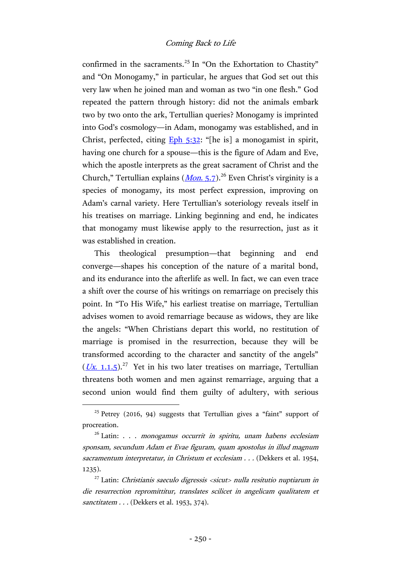confirmed in the sacraments.<sup>25</sup> In "On the Exhortation to Chastity" and "On Monogamy," in particular, he argues that God set out this very law when he joined man and woman as two "in one flesh." God repeated the pattern through history: did not the animals embark two by two onto the ark, Tertullian queries? Monogamy is imprinted into God's cosmology—in Adam, monogamy was established, and in Christ, perfected, citing [Eph](http://www.academic-bible.com/bible-text/Ephesians5.32/NA/) 5:32: "[he is] a monogamist in spirit, having one church for a spouse—this is the figure of Adam and Eve, which the apostle interprets as the great sacrament of Christ and the Church," Tertullian explains (*Mon.* 5.7).<sup>26</sup> Even Christ's virginity is a species of monogamy, its most perfect expression, improving on Adam's carnal variety. Here Tertullian's soteriology reveals itself in his treatises on marriage. Linking beginning and end, he indicates that monogamy must likewise apply to the resurrection, just as it was established in creation.

This theological presumption—that beginning and end converge—shapes his conception of the nature of a marital bond, and its endurance into the afterlife as well. In fact, we can even trace a shift over the course of his writings on remarriage on precisely this point. In "To His Wife," his earliest treatise on marriage, Tertullian advises women to avoid remarriage because as widows, they are like the angels: "When Christians depart this world, no restitution of marriage is promised in the resurrection, because they will be transformed according to the character and sanctity of the angels"  $(Ux, 1.1.5).^{27}$  $(Ux, 1.1.5).^{27}$  $(Ux, 1.1.5).^{27}$  Yet in his two later treatises on marriage, Tertullian threatens both women and men against remarriage, arguing that a second union would find them guilty of adultery, with serious

 $25$  Petrey (2016, 94) suggests that Tertullian gives a "faint" support of procreation.

 $26$  Latin: . . . monogamus occurrit in spiritu, unam habens ecclesiam sponsam, secundum Adam et Evae figuram, quam apostolus in illud magnum sacramentum interpretatur, in Christum et ecclesiam . . . (Dekkers et al. 1954, 1235).

 $27$  Latin: Christianis saeculo digressis <sicut> nulla resitutio nuptiarum in die resurrection repromittitur, translates scilicet in angelicam qualitatem et sanctitatem . . . (Dekkers et al. 1953, 374).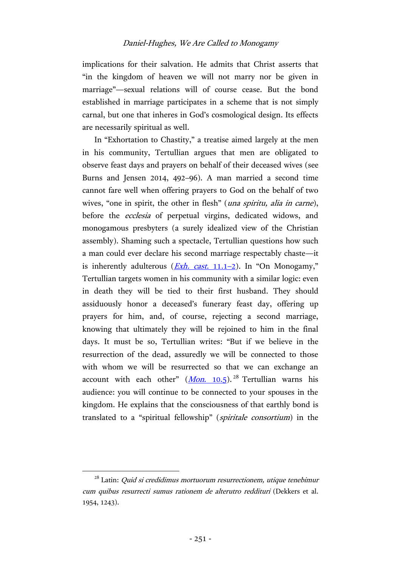implications for their salvation. He admits that Christ asserts that "in the kingdom of heaven we will not marry nor be given in marriage"—sexual relations will of course cease. But the bond established in marriage participates in a scheme that is not simply carnal, but one that inheres in God's cosmological design. Its effects are necessarily spiritual as well.

In "Exhortation to Chastity," a treatise aimed largely at the men in his community, Tertullian argues that men are obligated to observe feast days and prayers on behalf of their deceased wives (see Burns and Jensen 2014, 492–96). A man married a second time cannot fare well when offering prayers to God on the behalf of two wives, "one in spirit, the other in flesh" (una spiritu, alia in carne), before the *ecclesia* of perpetual virgins, dedicated widows, and monogamous presbyters (a surely idealized view of the Christian assembly). Shaming such a spectacle, Tertullian questions how such a man could ever declare his second marriage respectably chaste—it is inherently adulterous (*[Exh. cast](http://hdl.handle.net/2027/njp.32101075296036?urlappend=%3Bseq=66).* 11.1–2). In "On Monogamy," Tertullian targets women in his community with a similar logic: even in death they will be tied to their first husband. They should assiduously honor a deceased's funerary feast day, offering up prayers for him, and, of course, rejecting a second marriage, knowing that ultimately they will be rejoined to him in the final days. It must be so, Tertullian writes: "But if we believe in the resurrection of the dead, assuredly we will be connected to those with whom we will be resurrected so that we can exchange an account with each other"  $(Mon. 10.5)$  $(Mon. 10.5)$ . <sup>28</sup> Tertullian warns his audience: you will continue to be connected to your spouses in the kingdom. He explains that the consciousness of that earthly bond is translated to a "spiritual fellowship" (spiritale consortium) in the

 $28$  Latin: *Quid si credidimus mortuorum resurrectionem, utique tenebimur* cum quibus resurrecti sumus rationem de alterutro reddituri (Dekkers et al. 1954, 1243).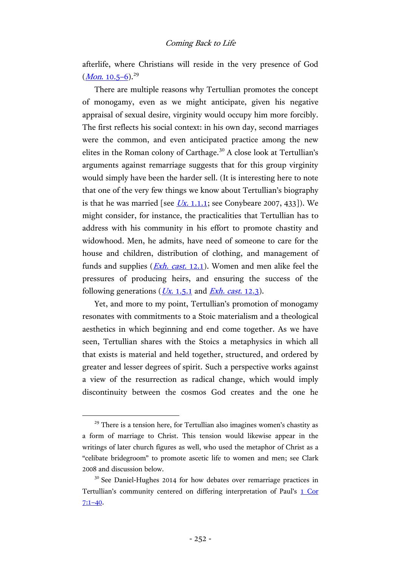afterlife, where Christians will reside in the very presence of God  $(Mon. 10.5-6).^{29}$  $(Mon. 10.5-6).^{29}$  $(Mon. 10.5-6).^{29}$ 

There are multiple reasons why Tertullian promotes the concept of monogamy, even as we might anticipate, given his negative appraisal of sexual desire, virginity would occupy him more forcibly. The first reflects his social context: in his own day, second marriages were the common, and even anticipated practice among the new elites in the Roman colony of Carthage.<sup>30</sup> A close look at Tertullian's arguments against remarriage suggests that for this group virginity would simply have been the harder sell. (It is interesting here to note that one of the very few things we know about Tertullian's biography is that he was married [see  $Ux$ . [1.1.1;](http://hdl.handle.net/2027/njp.32101075296036?urlappend=%3Bseq=49) see Conybeare 2007, 433]). We might consider, for instance, the practicalities that Tertullian has to address with his community in his effort to promote chastity and widowhood. Men, he admits, have need of someone to care for the house and children, distribution of clothing, and management of funds and supplies  $(Exh. \text{ cast. } 12.1)$ . Women and men alike feel the pressures of producing heirs, and ensuring the success of the following generations  $(Ux. 1.5.1$  $(Ux. 1.5.1$  and *[Exh. cast](http://hdl.handle.net/2027/njp.32101075296036?urlappend=%3Bseq=66).* 12.3).

Yet, and more to my point, Tertullian's promotion of monogamy resonates with commitments to a Stoic materialism and a theological aesthetics in which beginning and end come together. As we have seen, Tertullian shares with the Stoics a metaphysics in which all that exists is material and held together, structured, and ordered by greater and lesser degrees of spirit. Such a perspective works against a view of the resurrection as radical change, which would imply discontinuity between the cosmos God creates and the one he

 $29$  There is a tension here, for Tertullian also imagines women's chastity as a form of marriage to Christ. This tension would likewise appear in the writings of later church figures as well, who used the metaphor of Christ as a "celibate bridegroom" to promote ascetic life to women and men; see Clark 2008 and discussion below.

<sup>&</sup>lt;sup>30</sup> See Daniel-Hughes 2014 for how debates over remarriage practices in Tertullian's community centered on differing interpretation of Paul's [1 Cor](http://www.academic-bible.com/bible-text/1Corinthians7.1-40/NA/)  [7:1](http://www.academic-bible.com/bible-text/1Corinthians7.1-40/NA/)–40.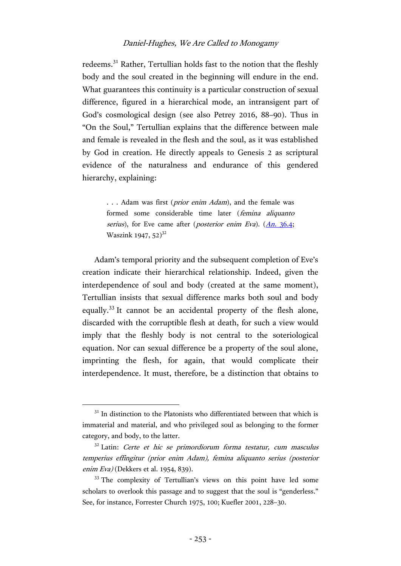redeems.<sup>31</sup> Rather, Tertullian holds fast to the notion that the fleshly body and the soul created in the beginning will endure in the end. What guarantees this continuity is a particular construction of sexual difference, figured in a hierarchical mode, an intransigent part of God's cosmological design (see also Petrey 2016, 88–90). Thus in "On the Soul," Tertullian explains that the difference between male and female is revealed in the flesh and the soul, as it was established by God in creation. He directly appeals to Genesis 2 as scriptural evidence of the naturalness and endurance of this gendered hierarchy, explaining:

> ... Adam was first (prior enim Adam), and the female was formed some considerable time later (femina aliquanto serius), for Eve came after (*posterior enim Eva*).  $(An, 36.4;$  $(An, 36.4;$ Waszink 1947,  $52^{32}$

Adam's temporal priority and the subsequent completion of Eve's creation indicate their hierarchical relationship. Indeed, given the interdependence of soul and body (created at the same moment), Tertullian insists that sexual difference marks both soul and body equally.<sup>33</sup> It cannot be an accidental property of the flesh alone, discarded with the corruptible flesh at death, for such a view would imply that the fleshly body is not central to the soteriological equation. Nor can sexual difference be a property of the soul alone, imprinting the flesh, for again, that would complicate their interdependence. It must, therefore, be a distinction that obtains to

 $31$  In distinction to the Platonists who differentiated between that which is immaterial and material, and who privileged soul as belonging to the former category, and body, to the latter.

 $32$  Latin: Certe et hic se primordiorum forma testatur, cum masculus temperius effingitur (prior enim Adam), femina aliquanto serius (posterior enim Eva) (Dekkers et al. 1954, 839).

<sup>&</sup>lt;sup>33</sup> The complexity of Tertullian's views on this point have led some scholars to overlook this passage and to suggest that the soul is "genderless." See, for instance, Forrester Church 1975, 100; Kuefler 2001, 228–30.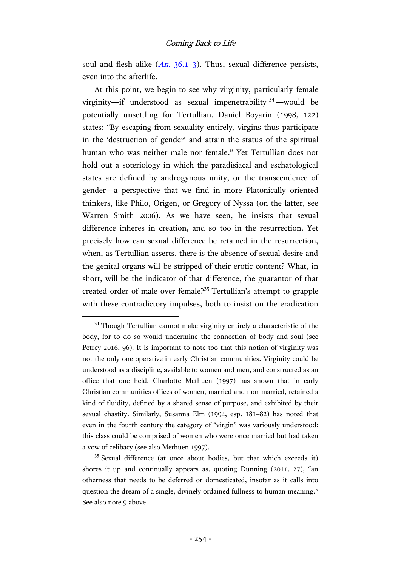soul and flesh alike  $(An, 36.1-3)$ . Thus, sexual difference persists, even into the afterlife.

At this point, we begin to see why virginity, particularly female virginity—if understood as sexual impenetrability  $34$ —would be potentially unsettling for Tertullian. Daniel Boyarin (1998, 122) states: "By escaping from sexuality entirely, virgins thus participate in the 'destruction of gender' and attain the status of the spiritual human who was neither male nor female." Yet Tertullian does not hold out a soteriology in which the paradisiacal and eschatological states are defined by androgynous unity, or the transcendence of gender—a perspective that we find in more Platonically oriented thinkers, like Philo, Origen, or Gregory of Nyssa (on the latter, see Warren Smith 2006). As we have seen, he insists that sexual difference inheres in creation, and so too in the resurrection. Yet precisely how can sexual difference be retained in the resurrection, when, as Tertullian asserts, there is the absence of sexual desire and the genital organs will be stripped of their erotic content? What, in short, will be the indicator of that difference, the guarantor of that created order of male over female?<sup>35</sup> Tertullian's attempt to grapple with these contradictory impulses, both to insist on the eradication

<sup>&</sup>lt;sup>34</sup> Though Tertullian cannot make virginity entirely a characteristic of the body, for to do so would undermine the connection of body and soul (see Petrey 2016, 96). It is important to note too that this notion of virginity was not the only one operative in early Christian communities. Virginity could be understood as a discipline, available to women and men, and constructed as an office that one held. Charlotte Methuen (1997) has shown that in early Christian communities offices of women, married and non-married, retained a kind of fluidity, defined by a shared sense of purpose, and exhibited by their sexual chastity. Similarly, Susanna Elm (1994, esp. 181–82) has noted that even in the fourth century the category of "virgin" was variously understood; this class could be comprised of women who were once married but had taken a vow of celibacy (see also Methuen 1997).

 $35$  Sexual difference (at once about bodies, but that which exceeds it) shores it up and continually appears as, quoting Dunning (2011, 27), "an otherness that needs to be deferred or domesticated, insofar as it calls into question the dream of a single, divinely ordained fullness to human meaning." See also note 9 above.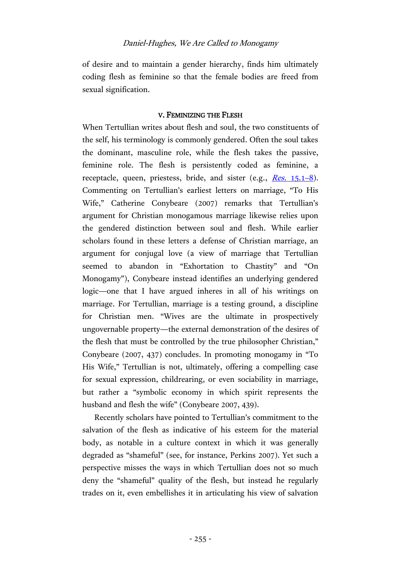of desire and to maintain a gender hierarchy, finds him ultimately coding flesh as feminine so that the female bodies are freed from sexual signification.

# V. FEMINIZING THE FLESH

When Tertullian writes about flesh and soul, the two constituents of the self, his terminology is commonly gendered. Often the soul takes the dominant, masculine role, while the flesh takes the passive, feminine role. The flesh is persistently coded as feminine, a receptacle, queen, priestess, bride, and sister (e.g.,  $Res. 15.1-8$  $Res. 15.1-8$  $Res. 15.1-8$ ). Commenting on Tertullian's earliest letters on marriage, "To His Wife," Catherine Conybeare (2007) remarks that Tertullian's argument for Christian monogamous marriage likewise relies upon the gendered distinction between soul and flesh. While earlier scholars found in these letters a defense of Christian marriage, an argument for conjugal love (a view of marriage that Tertullian seemed to abandon in "Exhortation to Chastity" and "On Monogamy"), Conybeare instead identifies an underlying gendered logic—one that I have argued inheres in all of his writings on marriage. For Tertullian, marriage is a testing ground, a discipline for Christian men. "Wives are the ultimate in prospectively ungovernable property—the external demonstration of the desires of the flesh that must be controlled by the true philosopher Christian," Conybeare (2007, 437) concludes. In promoting monogamy in "To His Wife," Tertullian is not, ultimately, offering a compelling case for sexual expression, childrearing, or even sociability in marriage, but rather a "symbolic economy in which spirit represents the husband and flesh the wife" (Conybeare 2007, 439).

Recently scholars have pointed to Tertullian's commitment to the salvation of the flesh as indicative of his esteem for the material body, as notable in a culture context in which it was generally degraded as "shameful" (see, for instance, Perkins 2007). Yet such a perspective misses the ways in which Tertullian does not so much deny the "shameful" quality of the flesh, but instead he regularly trades on it, even embellishes it in articulating his view of salvation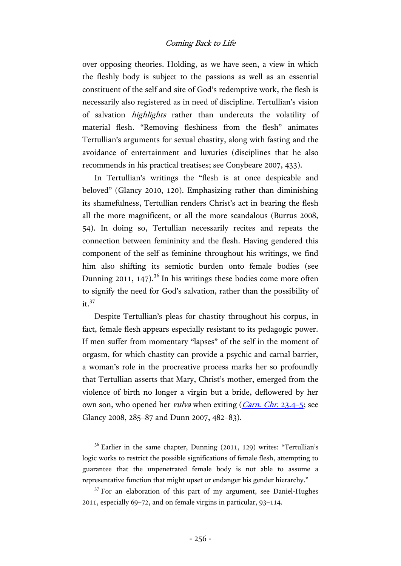over opposing theories. Holding, as we have seen, a view in which the fleshly body is subject to the passions as well as an essential constituent of the self and site of God's redemptive work, the flesh is necessarily also registered as in need of discipline. Tertullian's vision of salvation highlights rather than undercuts the volatility of material flesh. "Removing fleshiness from the flesh" animates Tertullian's arguments for sexual chastity, along with fasting and the avoidance of entertainment and luxuries (disciplines that he also recommends in his practical treatises; see Conybeare 2007, 433).

In Tertullian's writings the "flesh is at once despicable and beloved" (Glancy 2010, 120). Emphasizing rather than diminishing its shamefulness, Tertullian renders Christ's act in bearing the flesh all the more magnificent, or all the more scandalous (Burrus 2008, 54). In doing so, Tertullian necessarily recites and repeats the connection between femininity and the flesh. Having gendered this component of the self as feminine throughout his writings, we find him also shifting its semiotic burden onto female bodies (see Dunning 2011, 147).<sup>36</sup> In his writings these bodies come more often to signify the need for God's salvation, rather than the possibility of  $it.<sup>37</sup>$ 

Despite Tertullian's pleas for chastity throughout his corpus, in fact, female flesh appears especially resistant to its pedagogic power. If men suffer from momentary "lapses" of the self in the moment of orgasm, for which chastity can provide a psychic and carnal barrier, a woman's role in the procreative process marks her so profoundly that Tertullian asserts that Mary, Christ's mother, emerged from the violence of birth no longer a virgin but a bride, deflowered by her own son, who opened her *vulva* when exiting (*Carn. Chr.* [23.4](http://hdl.handle.net/2027/njp.32101075296044?urlappend=%3Bseq=551)–5; see Glancy 2008, 285–87 and Dunn 2007, 482–83).

<sup>&</sup>lt;sup>36</sup> Earlier in the same chapter, Dunning (2011, 129) writes: "Tertullian's logic works to restrict the possible significations of female flesh, attempting to guarantee that the unpenetrated female body is not able to assume a representative function that might upset or endanger his gender hierarchy."

 $37$  For an elaboration of this part of my argument, see Daniel-Hughes 2011, especially 69–72, and on female virgins in particular, 93–114.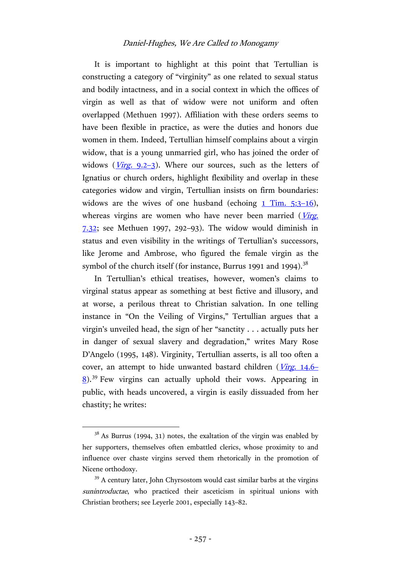It is important to highlight at this point that Tertullian is constructing a category of "virginity" as one related to sexual status and bodily intactness, and in a social context in which the offices of virgin as well as that of widow were not uniform and often overlapped (Methuen 1997). Affiliation with these orders seems to have been flexible in practice, as were the duties and honors due women in them. Indeed, Tertullian himself complains about a virgin widow, that is a young unmarried girl, who has joined the order of widows  $(Virg, 9.2-3)$ . Where our sources, such as the letters of Ignatius or church orders, highlight flexibility and overlap in these categories widow and virgin, Tertullian insists on firm boundaries: widows are the wives of one husband (echoing [1 Tim. 5:3](http://www.academic-bible.com/bible-text/1Timothy5.3-16/NA/)-16), whereas virgins are women who have never been married  $(Virg)$  $(Virg)$  $(Virg)$ . [7.32;](http://hdl.handle.net/2027/njp.32101075296036?urlappend=%3Bseq=41) see Methuen 1997, 292–93). The widow would diminish in status and even visibility in the writings of Tertullian's successors, like Jerome and Ambrose, who figured the female virgin as the symbol of the church itself (for instance, Burrus 1991 and 1994). $38$ 

In Tertullian's ethical treatises, however, women's claims to virginal status appear as something at best fictive and illusory, and at worse, a perilous threat to Christian salvation. In one telling instance in "On the Veiling of Virgins," Tertullian argues that a virgin's unveiled head, the sign of her "sanctity . . . actually puts her in danger of sexual slavery and degradation," writes Mary Rose D'Angelo (1995, 148). Virginity, Tertullian asserts, is all too often a cover, an attempt to hide unwanted bastard children (*Virg.* 14.6– [8\)](http://hdl.handle.net/2027/njp.32101075296036?urlappend=%3Bseq=45).<sup>39</sup> Few virgins can actually uphold their vows. Appearing in public, with heads uncovered, a virgin is easily dissuaded from her chastity; he writes:

 $38$  As Burrus (1994, 31) notes, the exaltation of the virgin was enabled by her supporters, themselves often embattled clerics, whose proximity to and influence over chaste virgins served them rhetorically in the promotion of Nicene orthodoxy.

 $39$  A century later, John Chyrsostom would cast similar barbs at the virgins sunintroductae, who practiced their asceticism in spiritual unions with Christian brothers; see Leyerle 2001, especially 143–82.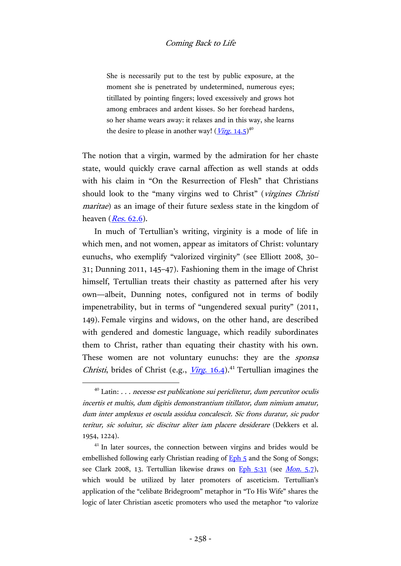She is necessarily put to the test by public exposure, at the moment she is penetrated by undetermined, numerous eyes; titillated by pointing fingers; loved excessively and grows hot among embraces and ardent kisses. So her forehead hardens, so her shame wears away: it relaxes and in this way, she learns the desire to please in another way! (*Virg*. [14.5\)](http://hdl.handle.net/2027/njp.32101075296036?urlappend=%3Bseq=45)<sup>40</sup>

The notion that a virgin, warmed by the admiration for her chaste state, would quickly crave carnal affection as well stands at odds with his claim in "On the Resurrection of Flesh" that Christians should look to the "many virgins wed to Christ" (virgines Christi maritae) as an image of their future sexless state in the kingdom of heaven  $(Res. 62.6)$  $(Res. 62.6)$ .

In much of Tertullian's writing, virginity is a mode of life in which men, and not women, appear as imitators of Christ: voluntary eunuchs, who exemplify "valorized virginity" (see Elliott 2008, 30– 31; Dunning 2011, 145–47). Fashioning them in the image of Christ himself, Tertullian treats their chastity as patterned after his very own—albeit, Dunning notes, configured not in terms of bodily impenetrability, but in terms of "ungendered sexual purity" (2011, 149). Female virgins and widows, on the other hand, are described with gendered and domestic language, which readily subordinates them to Christ, rather than equating their chastity with his own. These women are not voluntary eunuchs: they are the *sponsa Christi*, brides of Christ (e.g.,  $V$ *irg.* 16.4).<sup>41</sup> Tertullian imagines the

 $40$  Latin:  $\ldots$  necesse est publicatione sui periclitetur, dum percutitor oculis incertis et multis, dum digitis demonstrantium titillator, dum nimium amatur, dum inter amplexus et oscula assidua concalescit. Sic frons duratur, sic pudor teritur, sic soluitur, sic discitur aliter iam placere desiderare (Dekkers et al. 1954, 1224).

<sup>&</sup>lt;sup>41</sup> In later sources, the connection between virgins and brides would be embellished following early Christian reading of **Eph 5** and the Song of Songs; see Clark 2008, 13. Tertullian likewise draws on [Eph 5:31](http://www.academic-bible.com/bible-text/Ephesians5.31/NA/) (see *[Mon.](http://hdl.handle.net/2027/njp.32101075296036?urlappend=%3Bseq=72)* 5.7), which would be utilized by later promoters of asceticism. Tertullian's application of the "celibate Bridegroom" metaphor in "To His Wife" shares the logic of later Christian ascetic promoters who used the metaphor "to valorize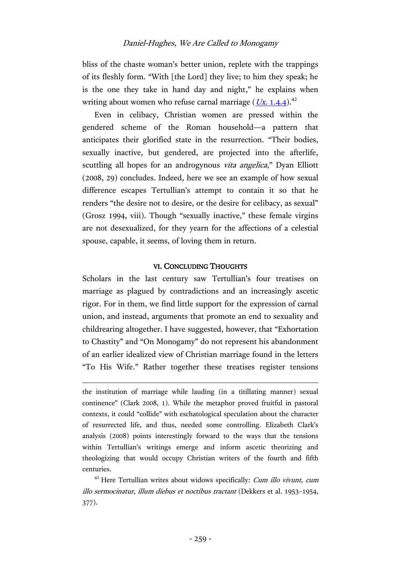bliss of the chaste woman's better union, replete with the trappings of its fleshly form. "With [the Lord] they live; to him they speak; he is the one they take in hand day and night," he explains when writing about women who refuse carnal marriage  $(Ux. 1.4.4).$  $(Ux. 1.4.4).$  $(Ux. 1.4.4).$ <sup>42</sup>

Even in celibacy, Christian women are pressed within the gendered scheme of the Roman household—a pattern that anticipates their glorified state in the resurrection. "Their bodies, sexually inactive, but gendered, are projected into the afterlife, scuttling all hopes for an androgynous *vita angelica*," Dyan Elliott (2008, 29) concludes. Indeed, here we see an example of how sexual difference escapes Tertullian's attempt to contain it so that he renders "the desire not to desire, or the desire for celibacy, as sexual" (Grosz 1994, viii). Though "sexually inactive," these female virgins are not desexualized, for they yearn for the affections of a celestial spouse, capable, it seems, of loving them in return.

### VI. CONCLUDING THOUGHTS

Scholars in the last century saw Tertullian's four treatises on marriage as plagued by contradictions and an increasingly ascetic rigor. For in them, we find little support for the expression of carnal union, and instead, arguments that promote an end to sexuality and childrearing altogether. I have suggested, however, that "Exhortation to Chastity" and "On Monogamy" do not represent his abandonment of an earlier idealized view of Christian marriage found in the letters "To His Wife." Rather together these treatises register tensions

the institution of marriage while lauding (in a titillating manner) sexual continence" (Clark 2008, 1). While the metaphor proved fruitful in pastoral contexts, it could "collide" with eschatological speculation about the character of resurrected life, and thus, needed some controlling. Elizabeth Clark's analysis (2008) points interestingly forward to the ways that the tensions within Tertullian's writings emerge and inform ascetic theorizing and theologizing that would occupy Christian writers of the fourth and fifth centuries.

 $\overline{a}$ 

 $42$  Here Tertullian writes about widows specifically: *Cum illo vivunt, cum* illo sermocinatur, illum diebus et noctibus tractant (Dekkers et al. 1953–1954, 377).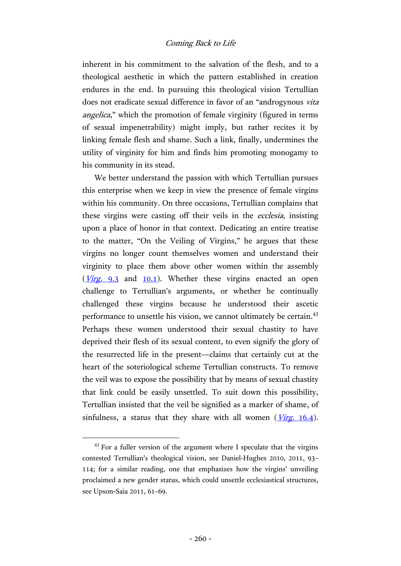inherent in his commitment to the salvation of the flesh, and to a theological aesthetic in which the pattern established in creation endures in the end. In pursuing this theological vision Tertullian does not eradicate sexual difference in favor of an "androgynous vita angelica," which the promotion of female virginity (figured in terms of sexual impenetrability) might imply, but rather recites it by linking female flesh and shame. Such a link, finally, undermines the utility of virginity for him and finds him promoting monogamy to his community in its stead.

We better understand the passion with which Tertullian pursues this enterprise when we keep in view the presence of female virgins within his community. On three occasions, Tertullian complains that these virgins were casting off their veils in the ecclesia, insisting upon a place of honor in that context. Dedicating an entire treatise to the matter, "On the Veiling of Virgins," he argues that these virgins no longer count themselves women and understand their virginity to place them above other women within the assembly  $(Virg, 9.3$  and  $10.1)$ . Whether these virgins enacted an open challenge to Tertullian's arguments, or whether he continually challenged these virgins because he understood their ascetic performance to unsettle his vision, we cannot ultimately be certain.<sup>43</sup> Perhaps these women understood their sexual chastity to have deprived their flesh of its sexual content, to even signify the glory of the resurrected life in the present—claims that certainly cut at the heart of the soteriological scheme Tertullian constructs. To remove the veil was to expose the possibility that by means of sexual chastity that link could be easily unsettled. To suit down this possibility, Tertullian insisted that the veil be signified as a marker of shame, of sinfulness, a status that they share with all women (*Virg.* [16.4\)](http://hdl.handle.net/2027/njp.32101075296036?urlappend=%3Bseq=46).

 $43$  For a fuller version of the argument where I speculate that the virgins contested Tertullian's theological vision, see Daniel-Hughes 2010, 2011, 93– 114; for a similar reading, one that emphasizes how the virgins' unveiling proclaimed a new gender status, which could unsettle ecclesiastical structures, see Upson-Saia 2011, 61–69.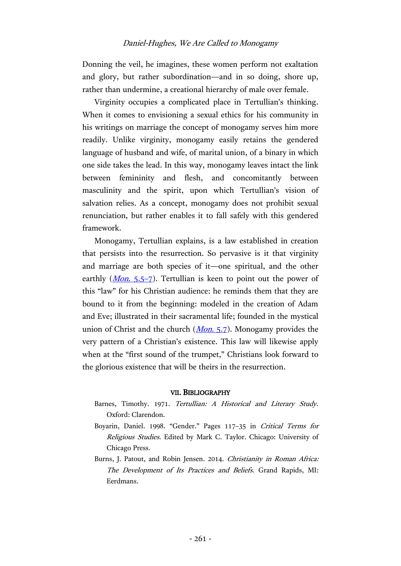Donning the veil, he imagines, these women perform not exaltation and glory, but rather subordination—and in so doing, shore up, rather than undermine, a creational hierarchy of male over female.

Virginity occupies a complicated place in Tertullian's thinking. When it comes to envisioning a sexual ethics for his community in his writings on marriage the concept of monogamy serves him more readily. Unlike virginity, monogamy easily retains the gendered language of husband and wife, of marital union, of a binary in which one side takes the lead. In this way, monogamy leaves intact the link between femininity and flesh, and concomitantly between masculinity and the spirit, upon which Tertullian's vision of salvation relies. As a concept, monogamy does not prohibit sexual renunciation, but rather enables it to fall safely with this gendered framework.

Monogamy, Tertullian explains, is a law established in creation that persists into the resurrection. So pervasive is it that virginity and marriage are both species of it—one spiritual, and the other earthly  $(Mon. 5.5-7)$  $(Mon. 5.5-7)$  $(Mon. 5.5-7)$ . Tertullian is keen to point out the power of this "law" for his Christian audience: he reminds them that they are bound to it from the beginning: modeled in the creation of Adam and Eve; illustrated in their sacramental life; founded in the mystical union of Christ and the church  $(Mon. 5.7)$  $(Mon. 5.7)$  $(Mon. 5.7)$ . Monogamy provides the very pattern of a Christian's existence. This law will likewise apply when at the "first sound of the trumpet," Christians look forward to the glorious existence that will be theirs in the resurrection.

#### VII. BIBLIOGRAPHY

- Barnes, Timothy. 1971. Tertullian: A Historical and Literary Study. Oxford: Clarendon.
- Boyarin, Daniel. 1998. "Gender." Pages 117–35 in Critical Terms for Religious Studies. Edited by Mark C. Taylor. Chicago: University of Chicago Press.
- Burns, J. Patout, and Robin Jensen. 2014. Christianity in Roman Africa: The Development of Its Practices and Beliefs. Grand Rapids, MI: Eerdmans.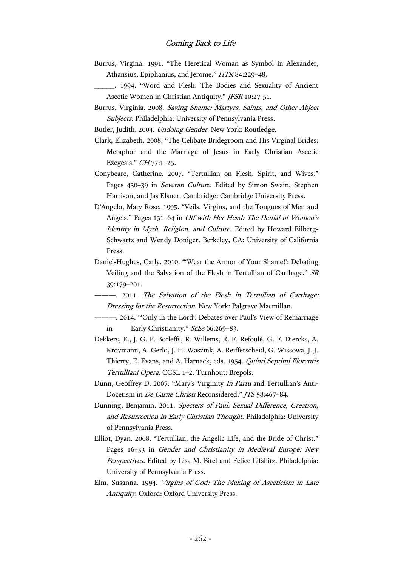- Burrus, Virgina. 1991. "The Heretical Woman as Symbol in Alexander, Athansius, Epiphanius, and Jerome." HTR 84:229–48.
- \_\_\_\_\_. 1994. "Word and Flesh: The Bodies and Sexuality of Ancient Ascetic Women in Christian Antiquity." JFSR 10:27-51.
- Burrus, Virginia. 2008. Saving Shame: Martyrs, Saints, and Other Abject Subjects. Philadelphia: University of Pennsylvania Press.
- Butler, Judith. 2004. Undoing Gender. New York: Routledge.
- Clark, Elizabeth. 2008. "The Celibate Bridegroom and His Virginal Brides: Metaphor and the Marriage of Jesus in Early Christian Ascetic Exegesis." CH 77:1–25.
- Conybeare, Catherine. 2007. "Tertullian on Flesh, Spirit, and Wives." Pages 430–39 in *Severan Culture*. Edited by Simon Swain, Stephen Harrison, and Jas Elsner. Cambridge: Cambridge University Press.
- D'Angelo, Mary Rose. 1995. "Veils, Virgins, and the Tongues of Men and Angels." Pages 131–64 in Off with Her Head: The Denial of Women's Identity in Myth, Religion, and Culture. Edited by Howard Eilberg-Schwartz and Wendy Doniger. Berkeley, CA: University of California Press.
- Daniel-Hughes, Carly. 2010. "'Wear the Armor of Your Shame!': Debating Veiling and the Salvation of the Flesh in Tertullian of Carthage." SR 39:179–201.
- ———. 2011. The Salvation of the Flesh in Tertullian of Carthage: Dressing for the Resurrection. New York: Palgrave Macmillan.
- ———. 2014. "'Only in the Lord': Debates over Paul's View of Remarriage in Early Christianity." ScEs 66:269-83.
- Dekkers, E., J. G. P. Borleffs, R. Willems, R. F. Refoulé, G. F. Diercks, A. Kroymann, A. Gerlo, J. H. Waszink, A. Reifferscheid, G. Wissowa, J. J. Thierry, E. Evans, and A. Harnack, eds. 1954. *Quinti Septimi Florentis* Tertulliani Opera. CCSL 1–2. Turnhout: Brepols.
- Dunn, Geoffrey D. 2007. "Mary's Virginity In Partu and Tertullian's Anti-Docetism in *De Carne Christi* Reconsidered." [TS 58:467-84.]
- Dunning, Benjamin. 2011. Specters of Paul: Sexual Difference, Creation, and Resurrection in Early Christian Thought. Philadelphia: University of Pennsylvania Press.
- Elliot, Dyan. 2008. "Tertullian, the Angelic Life, and the Bride of Christ." Pages 16-33 in Gender and Christianity in Medieval Europe: New Perspectives. Edited by Lisa M. Bitel and Felice Lifshitz. Philadelphia: University of Pennsylvania Press.
- Elm, Susanna. 1994. Virgins of God: The Making of Asceticism in Late Antiquity. Oxford: Oxford University Press.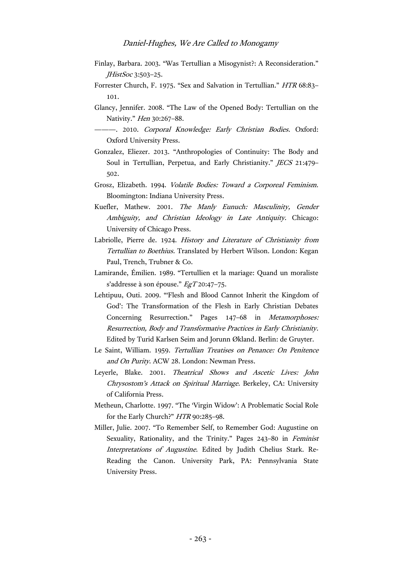- Finlay, Barbara. 2003. "Was Tertullian a Misogynist?: A Reconsideration." JHistSoc 3:503–25.
- Forrester Church, F. 1975. "Sex and Salvation in Tertullian." HTR 68:83– 101.
- Glancy, Jennifer. 2008. "The Law of the Opened Body: Tertullian on the Nativity." Hen 30:267–88.

-- 2010. Corporal Knowledge: Early Christian Bodies. Oxford: Oxford University Press.

- Gonzalez, Eliezer. 2013. "Anthropologies of Continuity: The Body and Soul in Tertullian, Perpetua, and Early Christianity." JECS 21:479– 502.
- Grosz, Elizabeth. 1994. Volatile Bodies: Toward a Corporeal Feminism. Bloomington: Indiana University Press.
- Kuefler, Mathew. 2001. The Manly Eunuch: Masculinity, Gender Ambiguity, and Christian Ideology in Late Antiquity. Chicago: University of Chicago Press.
- Labriolle, Pierre de. 1924. History and Literature of Christianity from Tertullian to Boethius. Translated by Herbert Wilson. London: Kegan Paul, Trench, Trubner & Co.
- Lamirande, Émilien. 1989. "Tertullien et la mariage: Quand un moraliste s'addresse à son épouse." EgT 20:47-75.
- Lehtipuu, Outi. 2009. "'Flesh and Blood Cannot Inherit the Kingdom of God': The Transformation of the Flesh in Early Christian Debates Concerning Resurrection." Pages 147–68 in Metamorphoses: Resurrection, Body and Transformative Practices in Early Christianity. Edited by Turid Karlsen Seim and Jorunn Økland. Berlin: de Gruyter.
- Le Saint, William. 1959. Tertullian Treatises on Penance: On Penitence and On Purity. ACW 28. London: Newman Press.
- Leyerle, Blake. 2001. Theatrical Shows and Ascetic Lives: John Chrysostom's Attack on Spiritual Marriage. Berkeley, CA: University of California Press.
- Metheun, Charlotte. 1997. "The 'Virgin Widow': A Problematic Social Role for the Early Church?" HTR 90:285–98.
- Miller, Julie. 2007. "To Remember Self, to Remember God: Augustine on Sexuality, Rationality, and the Trinity." Pages 243-80 in Feminist Interpretations of Augustine. Edited by Judith Chelius Stark. Re-Reading the Canon. University Park, PA: Pennsylvania State University Press.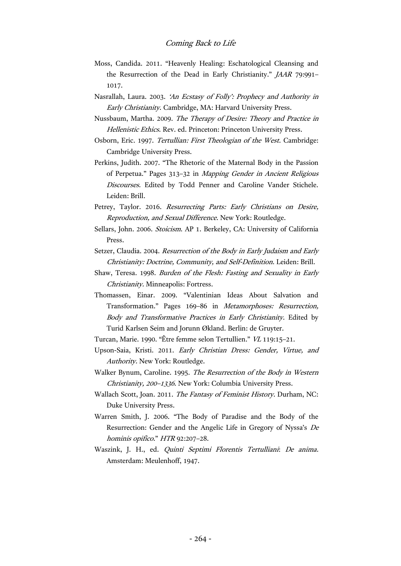- Moss, Candida. 2011. "Heavenly Healing: Eschatological Cleansing and the Resurrection of the Dead in Early Christianity." JAAR 79:991– 1017.
- Nasrallah, Laura. 2003. 'An Ecstasy of Folly': Prophecy and Authority in Early Christianity. Cambridge, MA: Harvard University Press.
- Nussbaum, Martha. 2009. The Therapy of Desire: Theory and Practice in Hellenistic Ethics. Rev. ed. Princeton: Princeton University Press.
- Osborn, Eric. 1997. Tertullian: First Theologian of the West. Cambridge: Cambridge University Press.
- Perkins, Judith. 2007. "The Rhetoric of the Maternal Body in the Passion of Perpetua." Pages 313–32 in Mapping Gender in Ancient Religious Discourses. Edited by Todd Penner and Caroline Vander Stichele. Leiden: Brill.
- Petrey, Taylor. 2016. Resurrecting Parts: Early Christians on Desire, Reproduction, and Sexual Difference. New York: Routledge.
- Sellars, John. 2006. Stoicism. AP 1. Berkeley, CA: University of California Press.
- Setzer, Claudia. 2004. Resurrection of the Body in Early Judaism and Early Christianity: Doctrine, Community, and Self-Definition. Leiden: Brill.
- Shaw, Teresa. 1998. Burden of the Flesh: Fasting and Sexuality in Early Christianity. Minneapolis: Fortress.
- Thomassen, Einar. 2009. "Valentinian Ideas About Salvation and Transformation." Pages 169–86 in Metamorphoses: Resurrection, Body and Transformative Practices in Early Christianity. Edited by Turid Karlsen Seim and Jorunn Økland. Berlin: de Gruyter.
- Turcan, Marie. 1990. "Être femme selon Tertullien." VL 119:15–21.
- Upson-Saia, Kristi. 2011. Early Christian Dress: Gender, Virtue, and Authority. New York: Routledge.
- Walker Bynum, Caroline. 1995. The Resurrection of the Body in Western Christianity, <sup>200</sup>–1336. New York: Columbia University Press.
- Wallach Scott, Joan. 2011. The Fantasy of Feminist History. Durham, NC: Duke University Press.
- Warren Smith, J. 2006. "The Body of Paradise and the Body of the Resurrection: Gender and the Angelic Life in Gregory of Nyssa's De hominis opifico." HTR 92:207-28.
- Waszink, J. H., ed. Quinti Septimi Florentis Tertulliani: De anima. Amsterdam: Meulenhoff, 1947.